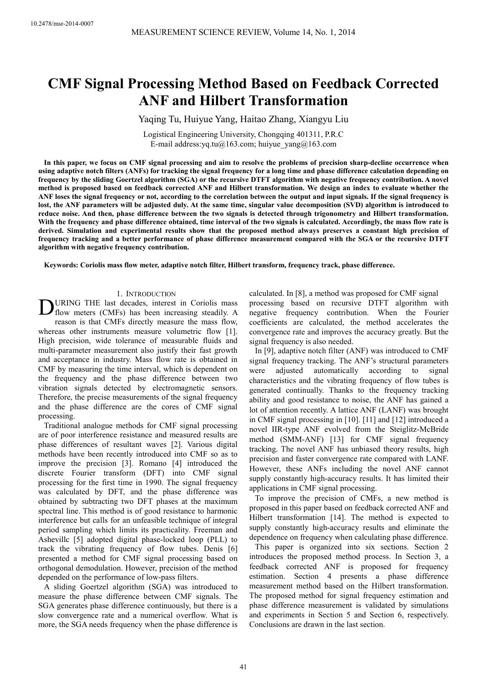# **CMF Signal Processing Method Based on Feedback Corrected ANF and Hilbert Transformation**

Yaqing Tu, Huiyue Yang, Haitao Zhang, Xiangyu Liu

Logistical Engineering University, Chongqing 401311, P.R.C E-mail address: yq.tu@163.com; huiyue\_yang@163.com

**In this paper, we focus on CMF signal processing and aim to resolve the problems of precision sharp-decline occurrence when using adaptive notch filters (ANFs) for tracking the signal frequency for a long time and phase difference calculation depending on frequency by the sliding Goertzel algorithm (SGA) or the recursive DTFT algorithm with negative frequency contribution. A novel method is proposed based on feedback corrected ANF and Hilbert transformation. We design an index to evaluate whether the ANF loses the signal frequency or not, according to the correlation between the output and input signals. If the signal frequency is lost, the ANF parameters will be adjusted duly. At the same time, singular value decomposition (SVD) algorithm is introduced to reduce noise. And then, phase difference between the two signals is detected through trigonometry and Hilbert transformation. With the frequency and phase difference obtained, time interval of the two signals is calculated. Accordingly, the mass flow rate is derived. Simulation and experimental results show that the proposed method always preserves a constant high precision of frequency tracking and a better performance of phase difference measurement compared with the SGA or the recursive DTFT algorithm with negative frequency contribution.** 

**Keywords: Coriolis mass flow meter, adaptive notch filter, Hilbert transform, frequency track, phase difference.** 

## 1. INTRODUCTION

URING THE last decades, interest in Coriolis mass **DURING THE last decades, interest in Coriolis mass**<br>flow meters (CMFs) has been increasing steadily. A reason is that CMFs directly measure the mass flow, whereas other instruments measure volumetric flow [1]. High precision, wide tolerance of measurable fluids and multi-parameter measurement also justify their fast growth and acceptance in industry. Mass flow rate is obtained in CMF by measuring the time interval, which is dependent on the frequency and the phase difference between two vibration signals detected by electromagnetic sensors. Therefore, the precise measurements of the signal frequency and the phase difference are the cores of CMF signal processing.

Traditional analogue methods for CMF signal processing are of poor interference resistance and measured results are phase differences of resultant waves [2]. Various digital methods have been recently introduced into CMF so as to improve the precision [3]. Romano [4] introduced the discrete Fourier transform (DFT) into CMF signal processing for the first time in 1990. The signal frequency was calculated by DFT, and the phase difference was obtained by subtracting two DFT phases at the maximum spectral line. This method is of good resistance to harmonic interference but calls for an unfeasible technique of integral period sampling which limits its practicality. Freeman and Ashevillc [5] adopted digital phase-locked loop (PLL) to track the vibrating frequency of flow tubes. Denis [6] presented a method for CMF signal processing based on orthogonal demodulation. However, precision of the method depended on the performance of low-pass filters.

A sliding Goertzel algorithm (SGA) was introduced to measure the phase difference between CMF signals. The SGA generates phase difference continuously, but there is a slow convergence rate and a numerical overflow. What is more, the SGA needs frequency when the phase difference is calculated. In [8], a method was proposed for CMF signal processing based on recursive DTFT algorithm with negative frequency contribution. When the Fourier coefficients are calculated, the method accelerates the convergence rate and improves the accuracy greatly. But the signal frequency is also needed.

In [9], adaptive notch filter (ANF) was introduced to CMF signal frequency tracking. The ANF's structural parameters were adjusted automatically according to signal characteristics and the vibrating frequency of flow tubes is generated continually. Thanks to the frequency tracking ability and good resistance to noise, the ANF has gained a lot of attention recently. A lattice ANF (LANF) was brought in CMF signal processing in [10]. [11] and [12] introduced a novel IIR-type ANF evolved from the Steiglitz-McBride method (SMM-ANF) [13] for CMF signal frequency tracking. The novel ANF has unbiased theory results, high precision and faster convergence rate compared with LANF. However, these ANFs including the novel ANF cannot supply constantly high-accuracy results. It has limited their applications in CMF signal processing.

To improve the precision of CMFs, a new method is proposed in this paper based on feedback corrected ANF and Hilbert transformation [14]. The method is expected to supply constantly high-accuracy results and eliminate the dependence on frequency when calculating phase difference.

This paper is organized into six sections. Section 2 introduces the proposed method process. In Section 3, a feedback corrected ANF is proposed for frequency estimation. Section 4 presents a phase difference measurement method based on the Hilbert transformation. The proposed method for signal frequency estimation and phase difference measurement is validated by simulations and experiments in Section 5 and Section 6, respectively. Conclusions are drawn in the last section.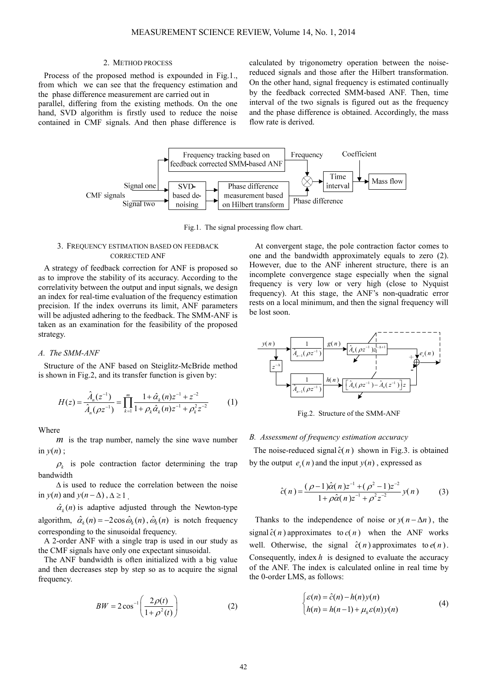#### 2. METHOD PROCESS

Process of the proposed method is expounded in Fig.1., from which we can see that the frequency estimation and the phase difference measurement are carried out in

parallel, differing from the existing methods. On the one hand, SVD algorithm is firstly used to reduce the noise contained in CMF signals. And then phase difference is

calculated by trigonometry operation between the noisereduced signals and those after the Hilbert transformation. On the other hand, signal frequency is estimated continually by the feedback corrected SMM-based ANF. Then, time interval of the two signals is figured out as the frequency and the phase difference is obtained. Accordingly, the mass flow rate is derived.



Fig.1. The signal processing flow chart.

# 3. FREQUENCY ESTIMATION BASED ON FEEDBACK CORRECTED ANF

A strategy of feedback correction for ANF is proposed so as to improve the stability of its accuracy. According to the correlativity between the output and input signals, we design an index for real-time evaluation of the frequency estimation precision. If the index overruns its limit, ANF parameters will be adjusted adhering to the feedback. The SMM-ANF is taken as an examination for the feasibility of the proposed strategy.

# *A. The SMM-ANF*

Structure of the ANF based on Steiglitz-McBride method is shown in Fig.2, and its transfer function is given by:

$$
H(z) = \frac{\hat{A}_n(z^{-1})}{\hat{A}_n(\rho z^{-1})} = \prod_{k=1}^m \frac{1 + \hat{\alpha}_k(n)z^{-1} + z^{-2}}{1 + \rho_k \hat{\alpha}_k(n)z^{-1} + \rho_k^2 z^{-2}} \tag{1}
$$

**Where** 

*m* is the trap number, namely the sine wave number in  $y(n)$ ;

 $\rho_k$  is pole contraction factor determining the trap bandwidth

∆ is used to reduce the correlation between the noise in *y*(*n*) and *y*( $n - \Delta$ ),  $\Delta \ge 1$ .

 $\hat{\alpha}_{k}(n)$  is adaptive adjusted through the Newton-type algorithm,  $\hat{\alpha}_k(n) = -2\cos \hat{\omega}_k(n), \hat{\omega}_k(n)$  is notch frequency corresponding to the sinusoidal frequency.

A 2-order ANF with a single trap is used in our study as the CMF signals have only one expectant sinusoidal.

The ANF bandwidth is often initialized with a big value and then decreases step by step so as to acquire the signal frequency.

$$
BW = 2\cos^{-1}\left(\frac{2\rho(t)}{1+\rho^2(t)}\right) \tag{2}
$$

At convergent stage, the pole contraction factor comes to one and the bandwidth approximately equals to zero (2). However, due to the ANF inherent structure, there is an incomplete convergence stage especially when the signal frequency is very low or very high (close to Nyquist frequency). At this stage, the ANF's non-quadratic error rests on a local minimum, and then the signal frequency will be lost soon.



Fig.2. Structure of the SMM-ANF

# *B. Assessment of frequency estimation accuracy*

The noise-reduced signal  $\hat{c}(n)$  shown in Fig.3. is obtained by the output  $e_s(n)$  and the input  $y(n)$ , expressed as

$$
\hat{c}(n) = \frac{(\rho - 1)\hat{\alpha}(n)z^{-1} + (\rho^2 - 1)z^{-2}}{1 + \rho\hat{\alpha}(n)z^{-1} + \rho^2 z^{-2}}y(n)
$$
(3)

Thanks to the independence of noise or  $y(n - \Delta n)$ , the signal  $\hat{c}(n)$  approximates to  $c(n)$  when the ANF works well. Otherwise, the signal  $\hat{c}(n)$  approximates to  $e(n)$ . Consequently, index  $h$  is designed to evaluate the accuracy of the ANF. The index is calculated online in real time by the 0-order LMS, as follows:

$$
\begin{cases} \varepsilon(n) = \hat{c}(n) - h(n)y(n) \\ h(n) = h(n-1) + \mu_h \varepsilon(n)y(n) \end{cases}
$$
(4)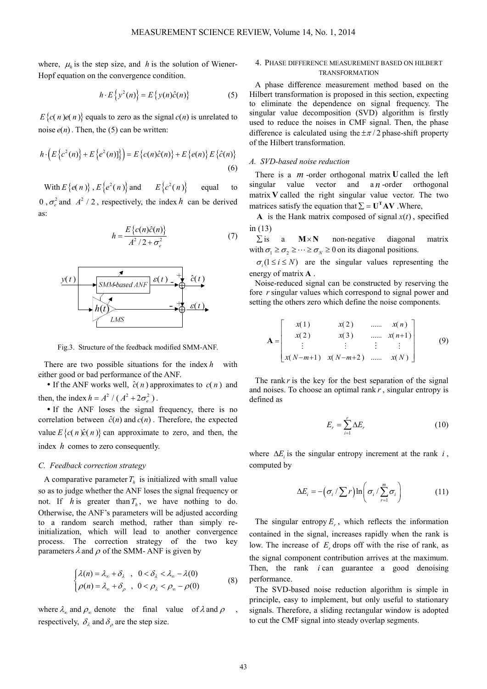where,  $\mu_h$  is the step size, and *h* is the solution of Wiener-Hopf equation on the convergence condition.

$$
h \cdot E\left\{y^2(n)\right\} = E\left\{y(n)\hat{c}(n)\right\} \tag{5}
$$

 $E\{c(n) e(n)\}$  equals to zero as the signal  $c(n)$  is unrelated to noise  $e(n)$ . Then, the (5) can be written:

$$
h \cdot \left( E\left\{c^2(n)\right\} + E\left\{e^2(n)\right\} \right) = E\left\{c(n)\hat{c}(n)\right\} + E\left\{e(n)\right\} E\left\{\hat{c}(n)\right\}
$$
\n(6)

With  $E\{e(n)\}, E\{e^2(n)\}\$  and  $E\{c^2(n)\}\$  equal to 0,  $\sigma_e^2$  and  $A^2$  / 2, respectively, the index *h* can be derived as:

$$
h = \frac{E\left\{c(n)\hat{c}(n)\right\}}{A^2/2 + \sigma_e^2}
$$
 (7)



Fig.3. Structure of the feedback modified SMM-ANF.

There are two possible situations for the index *h* with either good or bad performance of the ANF.

If the ANF works well,  $\hat{c}(n)$  approximates to  $c(n)$  and then, the index  $h = A^2 / (A^2 + 2\sigma_e^2)$ .

 If the ANF loses the signal frequency, there is no correlation between  $\hat{c}(n)$  and  $c(n)$ . Therefore, the expected value  $E\{c(n) \hat{c}(n)\}$  can approximate to zero, and then, the index *h* comes to zero consequently.

## *C. Feedback correction strategy*

A comparative parameter  $T<sub>h</sub>$  is initialized with small value so as to judge whether the ANF loses the signal frequency or not. If *h* is greater than  $T_h$ , we have nothing to do. Otherwise, the ANF's parameters will be adjusted according to a random search method, rather than simply reinitialization, which will lead to another convergence process. The correction strategy of the two key parameters  $\lambda$  and  $\rho$  of the SMM-ANF is given by

$$
\begin{cases} \lambda(n) = \lambda_{\infty} + \delta_{\lambda} , 0 < \delta_{\lambda} < \lambda_{\infty} - \lambda(0) \\ \rho(n) = \lambda_{\infty} + \delta_{\rho} , 0 < \rho_{\lambda} < \rho_{\infty} - \rho(0) \end{cases}
$$
 (8)

where  $\lambda_{\infty}$  and  $\rho_{\infty}$  denote the final value of  $\lambda$  and  $\rho$ , respectively,  $\delta_{\lambda}$  and  $\delta_{\rho}$  are the step size.

# 4. PHASE DIFFERENCE MEASUREMENT BASED ON HILBERT TRANSFORMATION

A phase difference measurement method based on the Hilbert transformation is proposed in this section, expecting to eliminate the dependence on signal frequency. The singular value decomposition (SVD) algorithm is firstly used to reduce the noises in CMF signal. Then, the phase difference is calculated using the  $\pm \pi/2$  phase-shift property of the Hilbert transformation.

# *A. SVD-based noise reduction*

There is a *m* -order orthogonal matrix **U** called the left singular value vector and a *n*-order orthogonal matrix **V** called the right singular value vector. The two matrices satisfy the equation that  $\Sigma = U^{\mathsf{T}}AV$  . Where,

**A** is the Hank matrix composed of signal  $x(t)$ , specified in (13)

 $\Sigma$  is a  $M \times N$  non-negative diagonal matrix with  $\sigma_1 \ge \sigma_2 \ge \cdots \ge \sigma_N \ge 0$  on its diagonal positions.

 $\sigma_i$  ( $1 \le i \le N$ ) are the singular values representing the energy of matrix **A** .

Noise-reduced signal can be constructed by reserving the fore *r* singular values which correspond to signal power and setting the others zero which define the noise components.

$$
\mathbf{A} = \begin{bmatrix} x(1) & x(2) & \dots & x(n) \\ x(2) & x(3) & \dots & x(n+1) \\ \vdots & \vdots & \vdots & \vdots \\ x(N-m+1) & x(N-m+2) & \dots & x(N) \end{bmatrix}
$$
(9)

The rank  $r$  is the key for the best separation of the signal and noises. To choose an optimal rank *r* , singular entropy is defined as

$$
E_r = \sum_{i=1}^r \Delta E_r \tag{10}
$$

where  $\Delta E_i$  is the singular entropy increment at the rank *i*, computed by

$$
\Delta E_i = -(\sigma_i / \sum r) \ln \left( \sigma_i / \sum_{r=1}^m \sigma_i \right) \tag{11}
$$

The singular entropy  $E_r$ , which reflects the information contained in the signal, increases rapidly when the rank is low. The increase of  $E_r$  drops off with the rise of rank, as the signal component contribution arrives at the maximum. Then, the rank *i* can guarantee a good denoising performance.

The SVD-based noise reduction algorithm is simple in principle, easy to implement, but only useful to stationary signals. Therefore, a sliding rectangular window is adopted to cut the CMF signal into steady overlap segments.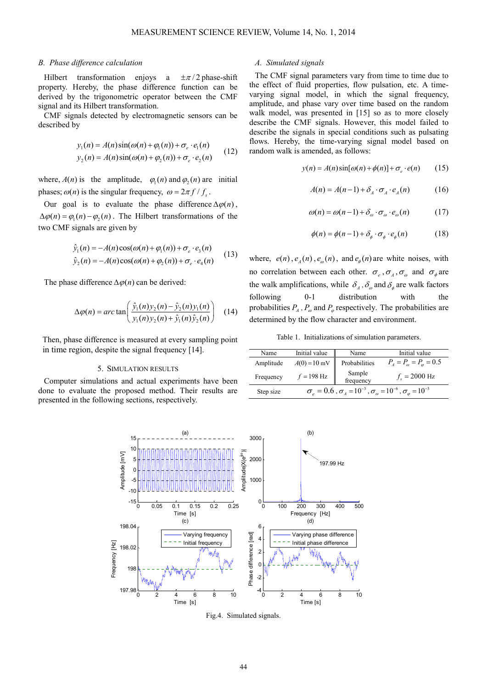#### *B. Phase difference calculation*

Hilbert transformation enjoys a  $\pm \pi/2$  phase-shift property. Hereby, the phase difference function can be derived by the trigonometric operator between the CMF signal and its Hilbert transformation.

CMF signals detected by electromagnetic sensors can be described by

$$
y_1(n) = A(n)\sin(\omega(n) + \varphi_1(n)) + \sigma_e \cdot e_1(n)
$$
  
\n
$$
y_2(n) = A(n)\sin(\omega(n) + \varphi_2(n)) + \sigma_e \cdot e_2(n)
$$
 (12)

where,  $A(n)$  is the amplitude,  $\varphi_1(n)$  and  $\varphi_2(n)$  are initial phases;  $\omega(n)$  is the singular frequency,  $\omega = 2\pi f / f_s$ .

Our goal is to evaluate the phase difference  $\Delta \varphi(n)$ ,  $\Delta \varphi(n) = \varphi_1(n) - \varphi_2(n)$ . The Hilbert transformations of the two CMF signals are given by

$$
\hat{y}_1(n) = -A(n)\cos(\omega(n) + \varphi_1(n)) + \sigma_e \cdot e_3(n)
$$
\n
$$
\hat{y}_2(n) = -A(n)\cos(\omega(n) + \varphi_2(n)) + \sigma_e \cdot e_4(n)
$$
\n(13)

The phase difference  $\Delta \varphi(n)$  can be derived:

$$
\Delta \varphi(n) = \arctan\left(\frac{\hat{y}_1(n)y_2(n) - \hat{y}_2(n)y_1(n)}{y_1(n)y_2(n) + \hat{y}_1(n)\hat{y}_2(n)}\right) \tag{14}
$$

Then, phase difference is measured at every sampling point in time region, despite the signal frequency [14].

#### 5. SIMULATION RESULTS

Computer simulations and actual experiments have been done to evaluate the proposed method. Their results are presented in the following sections, respectively.

#### *A. Simulated signals*

The CMF signal parameters vary from time to time due to the effect of fluid properties, flow pulsation, etc. A timevarying signal model, in which the signal frequency, amplitude, and phase vary over time based on the random walk model, was presented in [15] so as to more closely describe the CMF signals. However, this model failed to describe the signals in special conditions such as pulsating flows. Hereby, the time-varying signal model based on random walk is amended, as follows:

$$
y(n) = A(n)\sin[\omega(n) + \phi(n)] + \sigma_e \cdot e(n) \qquad (15)
$$

$$
A(n) = A(n-1) + \delta_A \cdot \sigma_A \cdot e_A(n) \tag{16}
$$

$$
\omega(n) = \omega(n-1) + \delta_{\omega} \cdot \sigma_{\omega} \cdot e_{\omega}(n) \tag{17}
$$

$$
\phi(n) = \phi(n-1) + \delta_{\phi} \cdot \sigma_{\phi} \cdot e_{\phi}(n) \tag{18}
$$

where,  $e(n)$ ,  $e_A(n)$ ,  $e_{\omega}(n)$ , and  $e_{\phi}(n)$  are white noises, with no correlation between each other.  $\sigma_e$ ,  $\sigma_A$ ,  $\sigma_\omega$  and  $\sigma_\phi$  are the walk amplifications, while  $\delta_A$ ,  $\delta_\omega$  and  $\delta_\phi$  are walk factors following 0-1 distribution with the probabilities  $P_A$ ,  $P_\omega$  and  $P_\varphi$  respectively. The probabilities are determined by the flow character and environment.

Table 1. Initializations of simulation parameters.

| Name      | Initial value                                                                                          | Name                | Initial value                           |  |  |  |
|-----------|--------------------------------------------------------------------------------------------------------|---------------------|-----------------------------------------|--|--|--|
| Amplitude | $A(0) = 10$ mV                                                                                         | Probabilities       | $P_{A} = P_{\omega} = P_{\omega} = 0.5$ |  |  |  |
| Frequency | $f = 198$ Hz                                                                                           | Sample<br>frequency | $f_c = 2000$ Hz                         |  |  |  |
| Step size | $\sigma_{\rho} = 0.6$ , $\sigma_{A} = 10^{-3}$ , $\sigma_{\rho} = 10^{-6}$ , $\sigma_{\rho} = 10^{-3}$ |                     |                                         |  |  |  |
|           |                                                                                                        |                     |                                         |  |  |  |



Fig.4. Simulated signals.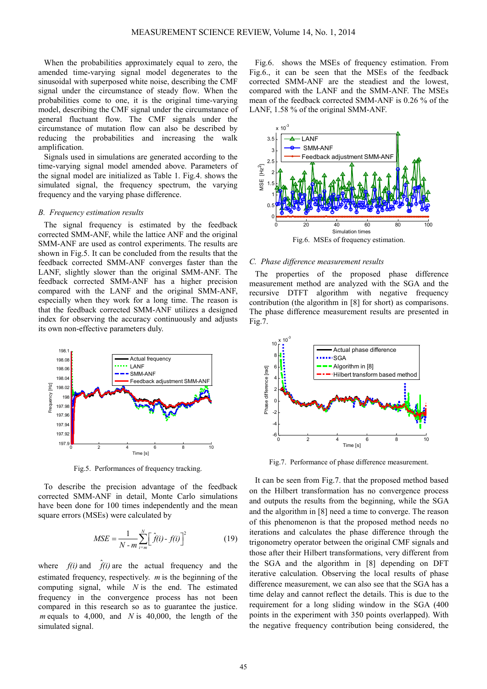When the probabilities approximately equal to zero, the amended time-varying signal model degenerates to the sinusoidal with superposed white noise, describing the CMF signal under the circumstance of steady flow. When the probabilities come to one, it is the original time-varying model, describing the CMF signal under the circumstance of general fluctuant flow. The CMF signals under the circumstance of mutation flow can also be described by reducing the probabilities and increasing the walk amplification.

Signals used in simulations are generated according to the time-varying signal model amended above. Parameters of the signal model are initialized as Table 1. Fig.4. shows the simulated signal, the frequency spectrum, the varying frequency and the varying phase difference.

#### *B. Frequency estimation results*

The signal frequency is estimated by the feedback corrected SMM-ANF, while the lattice ANF and the original SMM-ANF are used as control experiments. The results are shown in Fig.5. It can be concluded from the results that the feedback corrected SMM-ANF converges faster than the LANF, slightly slower than the original SMM-ANF. The feedback corrected SMM-ANF has a higher precision compared with the LANF and the original SMM-ANF, especially when they work for a long time. The reason is that the feedback corrected SMM-ANF utilizes a designed index for observing the accuracy continuously and adjusts its own non-effective parameters duly.



Fig.5. Performances of frequency tracking.

To describe the precision advantage of the feedback corrected SMM-ANF in detail, Monte Carlo simulations have been done for 100 times independently and the mean square errors (MSEs) were calculated by

$$
MSE = \frac{1}{N - m} \sum_{i=m}^{N} \left[ \hat{f}(i) - f(i) \right]^2 \tag{19}
$$

where  $f(i)$  and  $\hat{f}(i)$  are the actual frequency and the estimated frequency, respectively. *m* is the beginning of the computing signal, while *N* is the end. The estimated frequency in the convergence process has not been compared in this research so as to guarantee the justice. *m* equals to 4,000, and *N* is 40,000, the length of the simulated signal.

Fig.6. shows the MSEs of frequency estimation. From Fig.6., it can be seen that the MSEs of the feedback corrected SMM-ANF are the steadiest and the lowest, compared with the LANF and the SMM-ANF. The MSEs mean of the feedback corrected SMM-ANF is 0.26 % of the LANF, 1.58 % of the original SMM-ANF.



# *C. Phase difference measurement results*

The properties of the proposed phase difference measurement method are analyzed with the SGA and the recursive DTFT algorithm with negative frequency contribution (the algorithm in [8] for short) as comparisons. The phase difference measurement results are presented in Fig.7.



Fig.7. Performance of phase difference measurement.

It can be seen from Fig.7. that the proposed method based on the Hilbert transformation has no convergence process and outputs the results from the beginning, while the SGA and the algorithm in [8] need a time to converge. The reason of this phenomenon is that the proposed method needs no iterations and calculates the phase difference through the trigonometry operator between the original CMF signals and those after their Hilbert transformations, very different from the SGA and the algorithm in [8] depending on DFT iterative calculation. Observing the local results of phase difference measurement, we can also see that the SGA has a time delay and cannot reflect the details. This is due to the requirement for a long sliding window in the SGA (400 points in the experiment with 350 points overlapped). With the negative frequency contribution being considered, the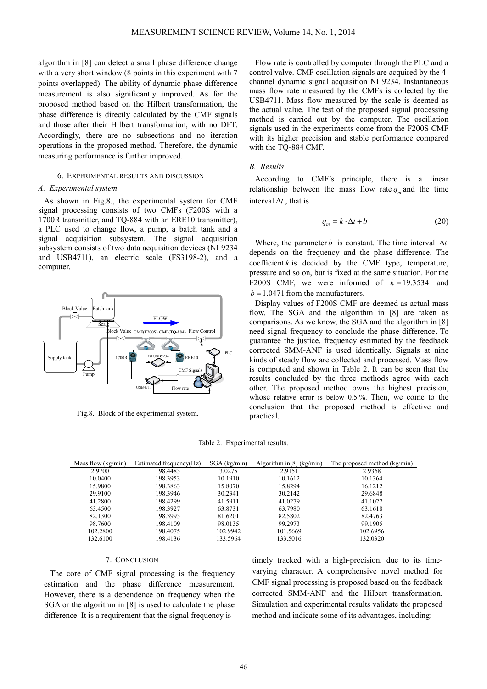algorithm in [8] can detect a small phase difference change with a very short window (8 points in this experiment with 7 points overlapped). The ability of dynamic phase difference measurement is also significantly improved. As for the proposed method based on the Hilbert transformation, the phase difference is directly calculated by the CMF signals and those after their Hilbert transformation, with no DFT. Accordingly, there are no subsections and no iteration operations in the proposed method. Therefore, the dynamic measuring performance is further improved.

#### 6. EXPERIMENTAL RESULTS AND DISCUSSION

#### *A. Experimental system*

As shown in Fig.8., the experimental system for CMF signal processing consists of two CMFs (F200S with a 1700R transmitter, and TQ-884 with an ERE10 transmitter), a PLC used to change flow, a pump, a batch tank and a signal acquisition subsystem. The signal acquisition subsystem consists of two data acquisition devices (NI 9234 and USB4711), an electric scale (FS3198-2), and a computer.



Fig.8. Block of the experimental system.

Flow rate is controlled by computer through the PLC and a control valve. CMF oscillation signals are acquired by the 4 channel dynamic signal acquisition NI 9234. Instantaneous mass flow rate measured by the CMFs is collected by the USB4711. Mass flow measured by the scale is deemed as the actual value. The test of the proposed signal processing method is carried out by the computer. The oscillation signals used in the experiments come from the F200S CMF with its higher precision and stable performance compared with the TQ-884 CMF.

#### *B. Results*

According to CMF's principle, there is a linear relationship between the mass flow rate  $q_m$  and the time interval ∆*t* , that is

$$
q_m = k \cdot \Delta t + b \tag{20}
$$

Where, the parameter *b* is constant. The time interval  $\Delta t$ depends on the frequency and the phase difference. The coefficient  $k$  is decided by the CMF type, temperature, pressure and so on, but is fixed at the same situation. For the F200S CMF, we were informed of  $k = 19.3534$  and  $b = 1.0471$  from the manufacturers.

Display values of F200S CMF are deemed as actual mass flow. The SGA and the algorithm in [8] are taken as comparisons. As we know, the SGA and the algorithm in [8] need signal frequency to conclude the phase difference. To guarantee the justice, frequency estimated by the feedback corrected SMM-ANF is used identically. Signals at nine kinds of steady flow are collected and processed. Mass flow is computed and shown in Table 2. It can be seen that the results concluded by the three methods agree with each other. The proposed method owns the highest precision, whose relative error is below 0.5 %. Then, we come to the conclusion that the proposed method is effective and practical.

Table 2. Experimental results.

| Mass flow $(kg/min)$ | Estimated frequency(Hz) | $SGA$ (kg/min) | Algorithm in $[8]$ (kg/min) | The proposed method (kg/min) |
|----------------------|-------------------------|----------------|-----------------------------|------------------------------|
| 2.9700               | 198.4483                | 3.0275         | 2.9151                      | 2.9368                       |
| 10.0400              | 198.3953                | 10.1910        | 10.1612                     | 10.1364                      |
| 15.9800              | 198.3863                | 15.8070        | 15.8294                     | 16.1212                      |
| 29.9100              | 198.3946                | 30.2341        | 30.2142                     | 29.6848                      |
| 41.2800              | 198.4299                | 41.5911        | 41.0279                     | 41.1027                      |
| 63.4500              | 198.3927                | 63.8731        | 63.7980                     | 63.1618                      |
| 82.1300              | 198.3993                | 81.6201        | 82.5802                     | 82.4763                      |
| 98.7600              | 198.4109                | 98.0135        | 99.2973                     | 99.1905                      |
| 102.2800             | 198.4075                | 102.9942       | 101.5669                    | 102.6956                     |
| 132.6100             | 198.4136                | 133.5964       | 133.5016                    | 132.0320                     |

#### 7. CONCLUSION

The core of CMF signal processing is the frequency estimation and the phase difference measurement. However, there is a dependence on frequency when the SGA or the algorithm in [8] is used to calculate the phase difference. It is a requirement that the signal frequency is

timely tracked with a high-precision, due to its timevarying character. A comprehensive novel method for CMF signal processing is proposed based on the feedback corrected SMM-ANF and the Hilbert transformation. Simulation and experimental results validate the proposed method and indicate some of its advantages, including: